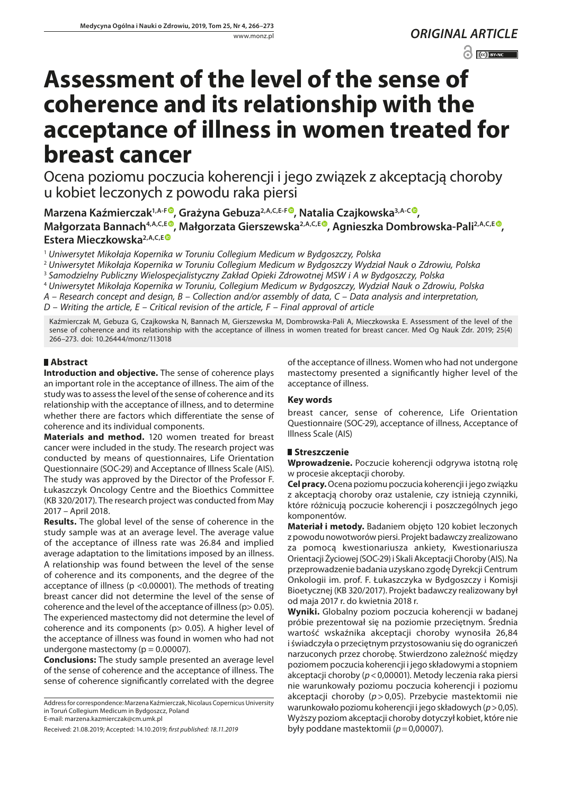*ORIGINAL ARTICLE*

 $\odot$   $\odot$  BY-NC

# **Assessment of the level of the sense of coherence and its relationship with the acceptance of illness in women treated for breast cancer**

Ocena poziomu poczucia koherencji i jego związek z akceptacją choroby u kobiet leczonych z powodu raka piersi

**Marzena Kaźmierczak1,A-F [,](https://orcid.org/0000-0002-3795-7581) Grażyna Gebuza2,A,C,E-[F](https://orcid.org/0000-0001-9743-4267) , Natalia Czajkowska3,A-C [,](https://orcid.org/0000-0001-6006-0337) Małgorzata Bannach4,A,C,E [,](https://orcid.org/0000-0001-8404-8199) Małgorzata Gierszewska2,A,C,E [,](https://orcid.org/0000-0002-4443-8982) Agnieszka Dombrowska-Pali2,A,C,E [,](https://orcid.org/0000-0003-0785-8977) Estera Mieczkowska2,A,C,E**

<sup>1</sup> *Uniwersytet Mikołaja Kopernika w Toruniu Collegium Medicum w Bydgoszczy, Polska*

<sup>2</sup> *Uniwersytet Mikołaja Kopernika w Toruniu Collegium Medicum w Bydgoszczy Wydział Nauk o Zdrowiu, Polska*

<sup>3</sup> *Samodzielny Publiczny Wielospecjalistyczny Zakład Opieki Zdrowotnej MSW i A w Bydgoszczy, Polska*

<sup>4</sup> *Uniwersytet Mikołaja Kopernika w Toruniu, Collegium Medicum w Bydgoszczy, Wydział Nauk o Zdrowiu, Polska*

*A – Research concept and design, B – Collection and/or assembly of data, C – Data analysis and interpretation,* 

*D – Writing the article, E – Critical revision of the article, F – Final approval of article*

Kaźmierczak M, Gebuza G, Czajkowska N, Bannach M, Gierszewska M, Dombrowska-Pali A, Mieczkowska E. Assessment of the level of the sense of coherence and its relationship with the acceptance of illness in women treated for breast cancer. Med Og Nauk Zdr. 2019; 25(4) 266–273. doi: 10.26444/monz/113018

# **Abstract**

**Introduction and objective.** The sense of coherence plays an important role in the acceptance of illness. The aim of the study was to assess the level of the sense of coherence and its relationship with the acceptance of illness, and to determine whether there are factors which differentiate the sense of coherence and its individual components.

**Materials and method.** 120 women treated for breast cancer were included in the study. The research project was conducted by means of questionnaires, Life Orientation Questionnaire (SOC-29) and Acceptance of Illness Scale (AIS). The study was approved by the Director of the Professor F. Łukaszczyk Oncology Centre and the Bioethics Committee (KB 320/2017). The research project was conducted from May 2017 – April 2018.

**Results.** The global level of the sense of coherence in the study sample was at an average level. The average value of the acceptance of illness rate was 26.84 and implied average adaptation to the limitations imposed by an illness. A relationship was found between the level of the sense of coherence and its components, and the degree of the acceptance of illness (p <0.00001). The methods of treating breast cancer did not determine the level of the sense of coherence and the level of the acceptance of illness (p> 0.05). The experienced mastectomy did not determine the level of coherence and its components (p> 0.05). A higher level of the acceptance of illness was found in women who had not undergone mastectomy ( $p = 0.00007$ ).

**Conclusions:** The study sample presented an average level of the sense of coherence and the acceptance of illness. The sense of coherence significantly correlated with the degree of the acceptance of illness. Women who had not undergone mastectomy presented a significantly higher level of the acceptance of illness.

# **Key words**

breast cancer, sense of coherence, Life Orientation Questionnaire (SOC-29), acceptance of illness, Acceptance of Illness Scale (AIS)

# **Streszczenie**

**Wprowadzenie.** Poczucie koherencji odgrywa istotną rolę w procesie akceptacji choroby.

**Cel pracy.** Ocena poziomu poczucia koherencji i jego związku z akceptacją choroby oraz ustalenie, czy istnieją czynniki, które różnicują poczucie koherencji i poszczególnych jego komponentów.

**Materiał i metody.** Badaniem objęto 120 kobiet leczonych z powodu nowotworów piersi. Projekt badawczy zrealizowano za pomocą kwestionariusza ankiety, Kwestionariusza Orientacji Życiowej (SOC-29) i Skali Akceptacji Choroby (AIS). Na przeprowadzenie badania uzyskano zgodę Dyrekcji Centrum Onkologii im. prof. F. Łukaszczyka w Bydgoszczy i Komisji Bioetycznej (KB 320/2017). Projekt badawczy realizowany był od maja 2017 r. do kwietnia 2018 r.

**Wyniki.** Globalny poziom poczucia koherencji w badanej próbie prezentował się na poziomie przeciętnym. Średnia wartość wskaźnika akceptacji choroby wynosiła 26,84 i świadczyła o przeciętnym przystosowaniu się do ograniczeń narzuconych przez chorobę. Stwierdzono zależność między poziomem poczucia koherencji i jego składowymi a stopniem akceptacji choroby (*p*<0,00001). Metody leczenia raka piersi nie warunkowały poziomu poczucia koherencji i poziomu akceptacji choroby (*p*>0,05). Przebycie mastektomii nie warunkowało poziomu koherencji i jego składowych (*p*>0,05). Wyższy poziom akceptacji choroby dotyczył kobiet, które nie były poddane mastektomii (*p*=0,00007).

Address for correspondence: Marzena Kaźmierczak, Nicolaus Copernicus University in Toruń Collegium Medicum in Bydgoszcz, Poland E-mail: [marzena.kazmierczak@cm.umk.pl](mailto:marzena.kazmierczak@cm.umk.pl)

Received: 21.08.2019; Accepted: 14.10.2019; *first published: 18.11.2019*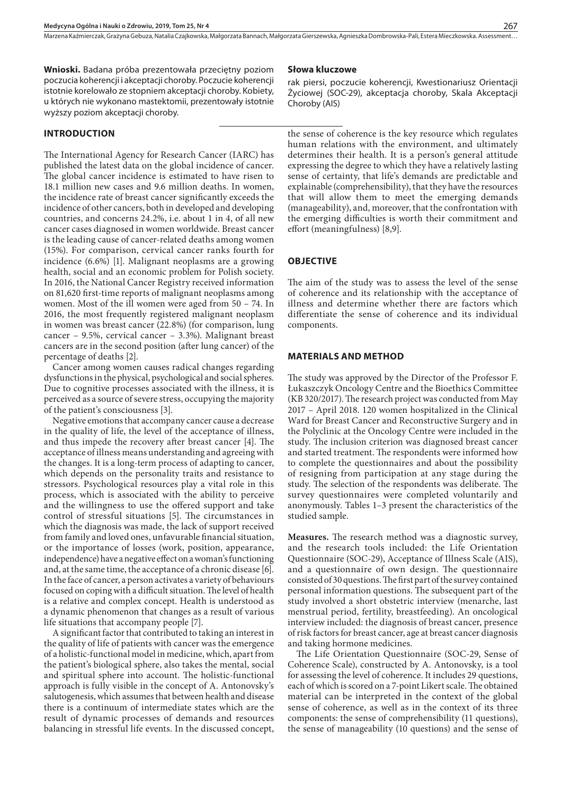Marzena Kaźmierczak, Grażyna Gebuza, Natalia Czajkowska, Małgorzata Bannach, Małgorzata Gierszewska, Agnieszka Dombrowska-Pali, Estera Mieczkowska. Assessment..

**Wnioski.** Badana próba prezentowała przeciętny poziom poczucia koherencji i akceptacji choroby. Poczucie koherencji istotnie korelowało ze stopniem akceptacji choroby. Kobiety, u których nie wykonano mastektomii, prezentowały istotnie wyższy poziom akceptacji choroby.

#### **INTRODUCTION**

The International Agency for Research Cancer (IARC) has published the latest data on the global incidence of cancer. The global cancer incidence is estimated to have risen to 18.1 million new cases and 9.6 million deaths. In women, the incidence rate of breast cancer significantly exceeds the incidence of other cancers, both in developed and developing countries, and concerns 24.2%, i.e. about 1 in 4, of all new cancer cases diagnosed in women worldwide. Breast cancer is the leading cause of cancer-related deaths among women (15%). For comparison, cervical cancer ranks fourth for incidence (6.6%) [1]. Malignant neoplasms are a growing health, social and an economic problem for Polish society. In 2016, the National Cancer Registry received information on 81,620 first-time reports of malignant neoplasms among women. Most of the ill women were aged from 50 – 74. In 2016, the most frequently registered malignant neoplasm in women was breast cancer (22.8%) (for comparison, lung cancer – 9.5%, cervical cancer – 3.3%). Malignant breast cancers are in the second position (after lung cancer) of the percentage of deaths [2].

Cancer among women causes radical changes regarding dysfunctions in the physical, psychological and social spheres. Due to cognitive processes associated with the illness, it is perceived as a source of severe stress, occupying the majority of the patient's consciousness [3].

Negative emotions that accompany cancer cause a decrease in the quality of life, the level of the acceptance of illness, and thus impede the recovery after breast cancer [4]. The acceptance of illness means understanding and agreeing with the changes. It is a long-term process of adapting to cancer, which depends on the personality traits and resistance to stressors. Psychological resources play a vital role in this process, which is associated with the ability to perceive and the willingness to use the offered support and take control of stressful situations [5]. The circumstances in which the diagnosis was made, the lack of support received from family and loved ones, unfavurable financial situation, or the importance of losses (work, position, appearance, independence) have a negative effect on a woman's functioning and, at the same time, the acceptance of a chronic disease [6]. In the face of cancer, a person activates a variety of behaviours focused on coping with a difficult situation. The level of health is a relative and complex concept. Health is understood as a dynamic phenomenon that changes as a result of various life situations that accompany people [7].

A significant factor that contributed to taking an interest in the quality of life of patients with cancer was the emergence of a holistic-functional model in medicine, which, apart from the patient's biological sphere, also takes the mental, social and spiritual sphere into account. The holistic-functional approach is fully visible in the concept of A. Antonovsky's salutogenesis, which assumes that between health and disease there is a continuum of intermediate states which are the result of dynamic processes of demands and resources balancing in stressful life events. In the discussed concept,

#### **Słowa kluczowe**

rak piersi, poczucie koherencji, Kwestionariusz Orientacji Życiowej (SOC-29), akceptacja choroby, Skala Akceptacji Choroby (AIS)

the sense of coherence is the key resource which regulates human relations with the environment, and ultimately determines their health. It is a person's general attitude expressing the degree to which they have a relatively lasting sense of certainty, that life's demands are predictable and explainable (comprehensibility), that they have the resources that will allow them to meet the emerging demands (manageability), and, moreover, that the confrontation with the emerging difficulties is worth their commitment and effort (meaningfulness) [8,9].

#### **OBJECTIVE**

The aim of the study was to assess the level of the sense of coherence and its relationship with the acceptance of illness and determine whether there are factors which differentiate the sense of coherence and its individual components.

#### **MATERIALS AND METHOD**

The study was approved by the Director of the Professor F. Łukaszczyk Oncology Centre and the Bioethics Committee (KB 320/2017). The research project was conducted from May 2017 – April 2018. 120 women hospitalized in the Clinical Ward for Breast Cancer and Reconstructive Surgery and in the Polyclinic at the Oncology Centre were included in the study. The inclusion criterion was diagnosed breast cancer and started treatment. The respondents were informed how to complete the questionnaires and about the possibility of resigning from participation at any stage during the study. The selection of the respondents was deliberate. The survey questionnaires were completed voluntarily and anonymously. Tables 1–3 present the characteristics of the studied sample.

**Measures.** The research method was a diagnostic survey, and the research tools included: the Life Orientation Questionnaire (SOC-29), Acceptance of Illness Scale (AIS), and a questionnaire of own design. The questionnaire consisted of 30 questions. The first part of the survey contained personal information questions. The subsequent part of the study involved a short obstetric interview (menarche, last menstrual period, fertility, breastfeeding). An oncological interview included: the diagnosis of breast cancer, presence of risk factors for breast cancer, age at breast cancer diagnosis and taking hormone medicines.

The Life Orientation Questionnaire (SOC-29, Sense of Coherence Scale), constructed by A. Antonovsky, is a tool for assessing the level of coherence. It includes 29 questions, each of which is scored on a 7-point Likert scale. The obtained material can be interpreted in the context of the global sense of coherence, as well as in the context of its three components: the sense of comprehensibility (11 questions), the sense of manageability (10 questions) and the sense of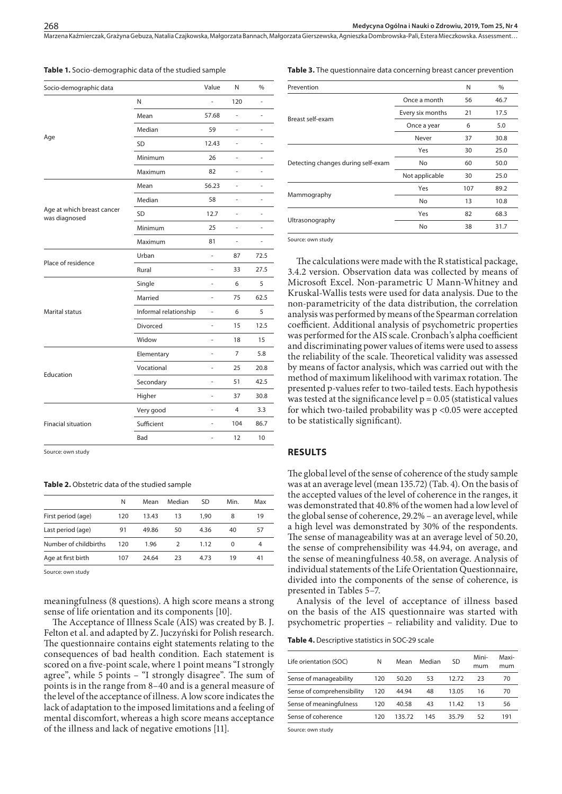Marzena Kaźmierczak, Grażyna Gebuza, Natalia Czajkowska, Małgorzata Bannach, Małgorzata Gierszewska, Agnieszka Dombrowska-Pali, Estera Mieczkowska . Assessment…

| Socio-demographic data                      |                       | Value                    | N   | $\%$ |
|---------------------------------------------|-----------------------|--------------------------|-----|------|
|                                             | N                     |                          | 120 | L.   |
|                                             | Mean                  | 57.68                    | ä,  | ä,   |
|                                             | Median                | 59                       | ä,  | ä,   |
| Age                                         | SD                    | 12.43                    | ÷,  | L,   |
|                                             | Minimum               | 26                       | ä,  | ä,   |
|                                             | Maximum               | 82                       | L,  | L,   |
|                                             | Mean                  | 56.23                    | L,  | i.   |
|                                             | Median                | 58                       |     |      |
| Age at which breast cancer<br>was diagnosed | <b>SD</b>             | 12.7                     | ÷,  | L,   |
|                                             | Minimum               | 25                       | ä,  | i.   |
|                                             | Maximum               | 81                       | ä,  | ÷,   |
|                                             | Urban                 | ä,                       | 87  | 72.5 |
| Place of residence                          | Rural                 | ä,                       | 33  | 27.5 |
|                                             | Single                |                          | 6   | 5    |
|                                             | Married               |                          | 75  | 62.5 |
| Marital status                              | Informal relationship | ä,                       | 6   | 5    |
|                                             | Divorced              | ÷.                       | 15  | 12.5 |
|                                             | Widow                 | ä,                       | 18  | 15   |
|                                             | Elementary            | ä,                       | 7   | 5.8  |
|                                             | Vocational            | ä,                       | 25  | 20.8 |
| Education                                   | Secondary             |                          | 51  | 42.5 |
|                                             | Higher                | ä,                       | 37  | 30.8 |
|                                             | Very good             | ÷,                       | 4   | 3.3  |
| <b>Finacial situation</b>                   | Sufficient            | ä,                       | 104 | 86.7 |
|                                             | Bad                   | $\overline{\phantom{0}}$ | 12  | 10   |

**Table 1.** Socio-demographic data of the studied sample

**Table 3.** The questionnaire data concerning breast cancer prevention

| Prevention                         |                  | N   | %    |
|------------------------------------|------------------|-----|------|
|                                    | Once a month     | 56  | 46.7 |
| Breast self-exam                   | Every six months | 21  | 17.5 |
|                                    | Once a year      | 6   | 5.0  |
|                                    | Never            | 37  | 30.8 |
| Detecting changes during self-exam | Yes              | 30  | 25.0 |
|                                    | No               | 60  | 50.0 |
|                                    | Not applicable   | 30  | 25.0 |
|                                    | Yes              | 107 | 89.2 |
| Mammography                        | <b>No</b>        | 13  | 10.8 |
|                                    | Yes              | 82  | 68.3 |
| Ultrasonography                    | No               | 38  | 31.7 |
|                                    |                  |     |      |

Source: own study

The calculations were made with the R statistical package, 3.4.2 version. Observation data was collected by means of Microsoft Excel. Non-parametric U Mann-Whitney and Kruskal-Wallis tests were used for data analysis. Due to the non-parametricity of the data distribution, the correlation analysis was performed by means of the Spearman correlation coefficient. Additional analysis of psychometric properties was performed for the AIS scale. Cronbach's alpha coefficient and discriminating power values of items were used to assess the reliability of the scale. Theoretical validity was assessed by means of factor analysis, which was carried out with the method of maximum likelihood with varimax rotation. The presented p-values refer to two-tailed tests. Each hypothesis was tested at the significance level  $p = 0.05$  (statistical values for which two-tailed probability was p <0.05 were accepted to be statistically significant).

#### **RESULTS**

The global level of the sense of coherence of the study sample was at an average level (mean 135.72) (Tab. 4). On the basis of the accepted values of the level of coherence in the ranges, it was demonstrated that 40.8% of the women had a low level of the global sense of coherence, 29.2% – an average level, while a high level was demonstrated by 30% of the respondents. The sense of manageability was at an average level of 50.20, the sense of comprehensibility was 44.94, on average, and the sense of meaningfulness 40.58, on average. Analysis of individual statements of the Life Orientation Questionnaire, divided into the components of the sense of coherence, is presented in Tables 5–7.

Analysis of the level of acceptance of illness based on the basis of the AIS questionnaire was started with psychometric properties – reliability and validity. Due to

**Table 4.** Descriptive statistics in SOC-29 scale

| Life orientation (SOC)     | N   | Mean   | Median | SD    | Mini-<br>mum | Maxi-<br>mum |
|----------------------------|-----|--------|--------|-------|--------------|--------------|
| Sense of manageability     | 120 | 50.20  | 53     | 12.72 | 23           | 70           |
| Sense of comprehensibility | 120 | 44.94  | 48     | 13.05 | 16           | 70           |
| Sense of meaningfulness    | 120 | 40.58  | 43     | 11.42 | 13           | 56           |
| Sense of coherence         | 120 | 135.72 | 145    | 35.79 | 52           | 191          |
|                            |     |        |        |       |              |              |

Source: own study

# Source: own study

#### **Table 2.** Obstetric data of the studied sample

|                       | Ν   | Mean  | Median        | SD   | Min. | Max |
|-----------------------|-----|-------|---------------|------|------|-----|
| First period (age)    | 120 | 13.43 | 13            | 1.90 | 8    | 19  |
| Last period (age)     | 91  | 49.86 | 50            | 4.36 | 40   | 57  |
| Number of childbirths | 120 | 1.96  | $\mathcal{P}$ | 1.12 | 0    | 4   |
| Age at first birth    | 107 | 24.64 | 23            | 4.73 | 19   | 41  |

Source: own study

meaningfulness (8 questions). A high score means a strong sense of life orientation and its components [10].

The Acceptance of Illness Scale (AIS) was created by B. J. Felton et al. and adapted by Z. Juczyński for Polish research. The questionnaire contains eight statements relating to the consequences of bad health condition. Each statement is scored on a five-point scale, where 1 point means "I strongly agree", while 5 points – "I strongly disagree". The sum of points is in the range from 8–40 and is a general measure of the level of the acceptance of illness. A low score indicates the lack of adaptation to the imposed limitations and a feeling of mental discomfort, whereas a high score means acceptance of the illness and lack of negative emotions [11].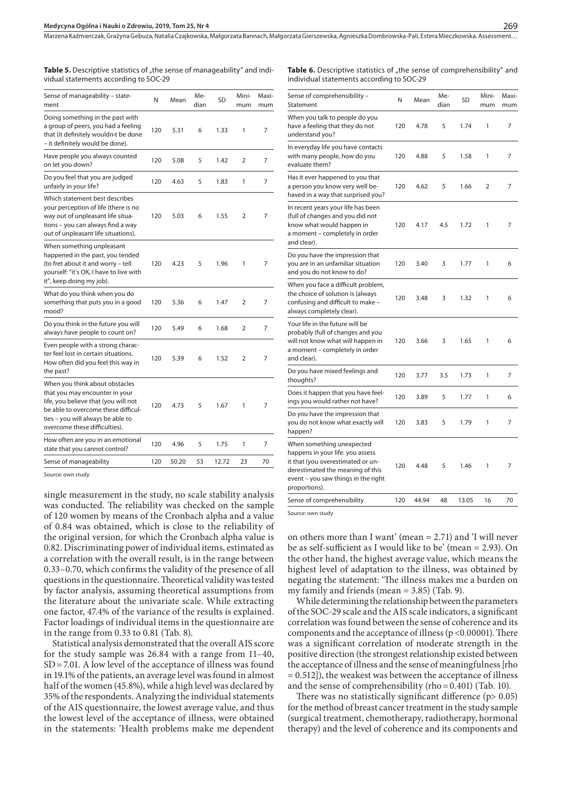Table 5. Descriptive statistics of "the sense of manageability" and individual statements according to SOC-29

Table 6. Descriptive statistics of "the sense of comprehensibility" and individual statements according to SOC-29

| Sense of manageability - state-<br>ment                                                                                                                                                                               | N   | Me-<br>Mean<br>dian |    | SD    | Mini-<br>mum   | Maxi-<br>mum |
|-----------------------------------------------------------------------------------------------------------------------------------------------------------------------------------------------------------------------|-----|---------------------|----|-------|----------------|--------------|
| Doing something in the past with<br>a group of peers, you had a feeling<br>that (it definitely wouldn>t be done<br>- it definitely would be done).                                                                    | 120 | 5.31                | 6  | 1.33  | 1              | 7            |
| Have people you always counted<br>on let you down?                                                                                                                                                                    | 120 | 5.08                | 5  | 1.42  | $\overline{2}$ | 7            |
| Do you feel that you are judged<br>unfairly in your life?                                                                                                                                                             | 120 | 4.63                | 5  | 1.83  | 1              | 7            |
| Which statement best describes<br>your perception of life (there is no<br>way out of unpleasant life situa-<br>tions - you can always find a way<br>out of unpleasant life situations).                               | 120 | 5.03                | 6  | 1.55  | $\overline{2}$ | 7            |
| When something unpleasant<br>happened in the past, you tended<br>(to fret about it and worry - tell<br>yourself: "it's OK, I have to live with<br>it", keep doing my job).                                            | 120 | 4.23                | 5  | 1.96  | 1              | 7            |
| What do you think when you do<br>something that puts you in a good<br>mood?                                                                                                                                           | 120 | 5.36                | 6  | 1.47  | $\overline{2}$ | 7            |
| Do you think in the future you will<br>always have people to count on?                                                                                                                                                | 120 | 5.49                | 6  | 1.68  | 2              | 7            |
| Even people with a strong charac-<br>ter feel lost in certain situations.<br>How often did you feel this way in<br>the past?                                                                                          | 120 | 5.39                | 6  | 1.52  | $\overline{2}$ | 7            |
| When you think about obstacles<br>that you may encounter in your<br>life, you believe that (you will not<br>be able to overcome these difficul-<br>ties - you will always be able to<br>overcome these difficulties). | 120 | 4.73                | 5  | 1.67  | 1              | 7            |
| How often are you in an emotional<br>state that you cannot control?                                                                                                                                                   | 120 | 4.96                | 5  | 1.75  | 1              | 7            |
| Sense of manageability                                                                                                                                                                                                | 120 | 50.20               | 53 | 12.72 | 23             | 70           |
|                                                                                                                                                                                                                       |     |                     |    |       |                |              |

Source: own study

single measurement in the study, no scale stability analysis was conducted. The reliability was checked on the sample of 120 women by means of the Cronbach alpha and a value of 0.84 was obtained, which is close to the reliability of the original version, for which the Cronbach alpha value is 0.82. Discriminating power of individual items, estimated as a correlation with the overall result, is in the range between 0.33–0.70, which confirms the validity of the presence of all questions in the questionnaire. Theoretical validity was tested by factor analysis, assuming theoretical assumptions from the literature about the univariate scale. While extracting one factor, 47.4% of the variance of the results is explained. Factor loadings of individual items in the questionnaire are in the range from 0.33 to 0.81 (Tab. 8).

Statistical analysis demonstrated that the overall AIS score for the study sample was 26.84 with a range from 11–40, SD=7.01. A low level of the acceptance of illness was found in 19.1% of the patients, an average level was found in almost half of the women (45.8%), while a high level was declared by 35% of the respondents. Analyzing the individual statements of the AIS questionnaire, the lowest average value, and thus the lowest level of the acceptance of illness, were obtained in the statements: 'Health problems make me dependent

| Sense of comprehensibility -<br>Statement                                                                                                                                                      | N   | Me-<br>Mean<br>dian |     | <b>SD</b> | Mini-<br>mum | Maxi-<br>mum |  |
|------------------------------------------------------------------------------------------------------------------------------------------------------------------------------------------------|-----|---------------------|-----|-----------|--------------|--------------|--|
| When you talk to people do you<br>have a feeling that they do not<br>understand you?                                                                                                           | 120 | 4.78                | 5   | 1.74      | 1            | 7            |  |
| In everyday life you have contacts<br>with many people, how do you<br>evaluate them?                                                                                                           | 120 | 4.88                | 5   | 1.58      | 1            | 7            |  |
| Has it ever happened to you that<br>a person you know very well be-<br>haved in a way that surprised you?                                                                                      | 120 | 4.62                | 5   | 1.66      | 2            | 7            |  |
| In recent years your life has been<br>(full of changes and you did not<br>know what would happen in<br>a moment - completely in order<br>and clear).                                           | 120 | 4.17                | 4.5 | 1.72      | 1            | 7            |  |
| Do you have the impression that<br>you are in an unfamiliar situation<br>and you do not know to do?                                                                                            | 120 | 3.40                | 3   | 1.77      | 1            | 6            |  |
| When you face a difficult problem,<br>the choice of solution is (always<br>confusing and difficult to make -<br>always completely clear).                                                      | 120 | 3.48                | 3   | 1.32      | 1            | 6            |  |
| Your life in the future will be<br>probably (full of changes and you<br>will not know what will happen in<br>a moment – completely in order<br>and clear).                                     | 120 | 3.66                | 3   | 1.65      | 1            | 6            |  |
| Do you have mixed feelings and<br>thoughts?                                                                                                                                                    | 120 | 3.77                | 3.5 | 1.73      | 1            | 7            |  |
| Does it happen that you have feel-<br>ings you would rather not have?                                                                                                                          | 120 | 3.89                | 5   | 1.77      | 1            | 6            |  |
| Do you have the impression that<br>you do not know what exactly will<br>happen?                                                                                                                | 120 | 3.83                | 5   | 1.79      | 1            | 7            |  |
| When something unexpected<br>happens in your life. you assess<br>it that (you overestimated or un-<br>derestimated the meaning of this<br>event - you saw things in the right<br>proportions). | 120 | 4.48                | 5   | 1.46      | 1            | 7            |  |
| Sense of comprehensibility                                                                                                                                                                     | 120 | 44.94               | 48  | 13.05     | 16           | 70           |  |

Source: own study

on others more than I want' (mean = 2.71) and 'I will never be as self-sufficient as I would like to be' (mean = 2.93). On the other hand, the highest average value, which means the highest level of adaptation to the illness, was obtained by negating the statement: 'The illness makes me a burden on my family and friends (mean = 3.85) (Tab. 9).

While determining the relationship between the parameters of the SOC-29 scale and the AIS scale indicators, a significant correlation was found between the sense of coherence and its components and the acceptance of illness (p <0.00001). There was a significant correlation of moderate strength in the positive direction (the strongest relationship existed between the acceptance of illness and the sense of meaningfulness [rho = 0.512]), the weakest was between the acceptance of illness and the sense of comprehensibility (rho=0.401) (Tab. 10).

There was no statistically significant difference (p> 0.05) for the method of breast cancer treatment in the study sample (surgical treatment, chemotherapy, radiotherapy, hormonal therapy) and the level of coherence and its components and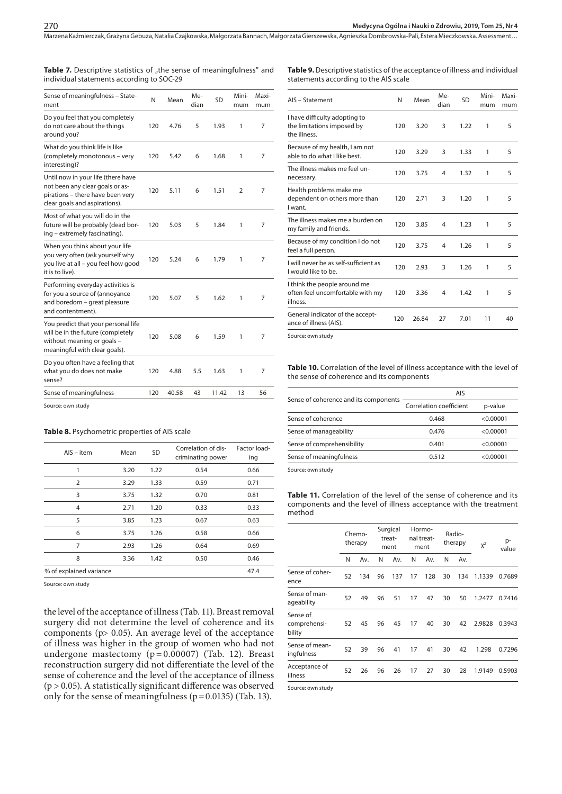| <b>Table 7.</b> Descriptive statistics of "the sense of meaningfulness" and |  |
|-----------------------------------------------------------------------------|--|
| individual statements according to SOC-29                                   |  |

**Table 9.** Descriptive statistics of the acceptance of illness and individual statements according to the AIS scale

| Sense of meaningfulness - State-<br>ment                                                                                                   | N   | Mean  | Me-<br>dian | SD    | Mini-<br>mum | Maxi-<br>mum |
|--------------------------------------------------------------------------------------------------------------------------------------------|-----|-------|-------------|-------|--------------|--------------|
| Do you feel that you completely<br>do not care about the things<br>around you?                                                             | 120 | 4.76  | 5           | 1.93  | 1            | 7            |
| What do you think life is like<br>(completely monotonous - very<br>interesting)?                                                           | 120 | 5.42  | 6           | 1.68  | 1            | 7            |
| Until now in your life (there have<br>not been any clear goals or as-<br>pirations - there have been very<br>clear goals and aspirations). | 120 | 5.11  | 6           | 1.51  | 2            | 7            |
| Most of what you will do in the<br>future will be probably (dead bor-<br>ing - extremely fascinating).                                     | 120 | 5.03  | 5           | 1.84  | 1            | 7            |
| When you think about your life<br>you very often (ask yourself why<br>you live at all - you feel how good<br>it is to live).               | 120 | 5.24  | 6           | 1.79  | 1            | 7            |
| Performing everyday activities is<br>for you a source of (annoyance<br>and boredom - great pleasure<br>and contentment).                   | 120 | 5.07  | 5           | 1.62  | 1            | 7            |
| You predict that your personal life<br>will be in the future (completely<br>without meaning or goals -<br>meaningful with clear goals).    | 120 | 5.08  | 6           | 1.59  | 1            | 7            |
| Do you often have a feeling that<br>what you do does not make<br>sense?                                                                    | 120 | 4.88  | 5.5         | 1.63  | 1            | 7            |
| Sense of meaningfulness                                                                                                                    | 120 | 40.58 | 43          | 11.42 | 13           | 56           |
|                                                                                                                                            |     |       |             |       |              |              |

Source: own study

#### **Table 8.** Psychometric properties of AIS scale

| $AIS - item$            | Mean | <b>SD</b> | Correlation of dis-<br>criminating power | Factor load-<br>ing |
|-------------------------|------|-----------|------------------------------------------|---------------------|
| 1                       | 3.20 | 1.22      | 0.54                                     | 0.66                |
| $\overline{2}$          | 3.29 | 1.33      | 0.59                                     | 0.71                |
| 3                       | 3.75 | 1.32      | 0.70                                     | 0.81                |
| $\overline{4}$          | 2.71 | 1.20      | 0.33                                     | 0.33                |
| 5                       | 3.85 | 1.23      | 0.67                                     | 0.63                |
| 6                       | 3.75 | 1.26      | 0.58                                     | 0.66                |
| 7                       | 2.93 | 1.26      | 0.64                                     | 0.69                |
| 8                       | 3.36 | 1.42      | 0.50                                     | 0.46                |
| % of explained variance |      |           |                                          | 47.4                |
|                         |      |           |                                          |                     |

Source: own study

the level of the acceptance of illness (Tab. 11). Breast removal surgery did not determine the level of coherence and its components (p> 0.05). An average level of the acceptance of illness was higher in the group of women who had not undergone mastectomy ( $p = 0.00007$ ) (Tab. 12). Breast reconstruction surgery did not differentiate the level of the sense of coherence and the level of the acceptance of illness ( $p > 0.05$ ). A statistically significant difference was observed only for the sense of meaningfulness ( $p = 0.0135$ ) (Tab. 13).

| AIS - Statement                                                              | N   | Mean  | Me-<br>dian | SD   | Mini-<br>mum | Maxi-<br>mum |
|------------------------------------------------------------------------------|-----|-------|-------------|------|--------------|--------------|
| I have difficulty adopting to<br>the limitations imposed by<br>the illness.  | 120 | 3.20  | 3           | 1.22 | 1            | 5            |
| Because of my health, I am not<br>able to do what I like best.               | 120 | 3.29  | 3           | 1.33 | 1            | 5            |
| The illness makes me feel un-<br>necessary.                                  | 120 | 3.75  | 4           | 1.32 | 1            | 5            |
| Health problems make me<br>dependent on others more than<br>I want.          | 120 | 2.71  | 3           | 1.20 | 1            | 5            |
| The illness makes me a burden on<br>my family and friends.                   | 120 | 3.85  | 4           | 1.23 | 1            | 5            |
| Because of my condition I do not<br>feel a full person.                      | 120 | 3.75  | 4           | 1.26 | 1            | 5            |
| I will never be as self-sufficient as<br>I would like to be.                 | 120 | 2.93  | 3           | 1.26 | 1            | 5            |
| I think the people around me<br>often feel uncomfortable with my<br>illness. | 120 | 3.36  | 4           | 1.42 | 1            | 5            |
| General indicator of the accept-<br>ance of illness (AIS).                   | 120 | 26.84 | 27          | 7.01 | 11           | 40           |

Source: own study

**Table 10.** Correlation of the level of illness acceptance with the level of the sense of coherence and its components

|                                       | <b>AIS</b>              |           |  |  |  |
|---------------------------------------|-------------------------|-----------|--|--|--|
| Sense of coherence and its components | Correlation coefficient | p-value   |  |  |  |
| Sense of coherence                    | 0.468                   | < 0.00001 |  |  |  |
| Sense of manageability                | 0.476                   | < 0.00001 |  |  |  |
| Sense of comprehensibility            | 0.401                   | < 0.00001 |  |  |  |
| Sense of meaningfulness               | 0.512                   | < 0.00001 |  |  |  |
|                                       |                         |           |  |  |  |

Source: own study

**Table 11.** Correlation of the level of the sense of coherence and its components and the level of illness acceptance with the treatment method

|                                    | Chemo-<br>therapy |     | Surgical<br>Hormo-<br>nal treat-<br>treat-<br>ment<br>ment |     |    |     | Radio-<br>therapy | $X^2$ | p-<br>value |        |
|------------------------------------|-------------------|-----|------------------------------------------------------------|-----|----|-----|-------------------|-------|-------------|--------|
|                                    | N                 | Av. | N                                                          | Av. | N  | Av. | N                 | Av.   |             |        |
| Sense of coher-<br>ence            | 52                | 134 | 96                                                         | 137 | 17 | 128 | 30                | 134   | 1.1339      | 0.7689 |
| Sense of man-<br>ageability        | 52                | 49  | 96                                                         | 51  | 17 | 47  | 30                | 50    | 1.2477      | 0.7416 |
| Sense of<br>comprehensi-<br>bility | 52                | 45  | 96                                                         | 45  | 17 | 40  | 30                | 42    | 2.9828      | 0.3943 |
| Sense of mean-<br>ingfulness       | 52                | 39  | 96                                                         | 41  | 17 | 41  | 30                | 42    | 1.298       | 0.7296 |
| Acceptance of<br>illness           | 52                | 26  | 96                                                         | 26  | 17 | 27  | 30                | 28    | 1.9149      | 0.5903 |
|                                    |                   |     |                                                            |     |    |     |                   |       |             |        |

Source: own study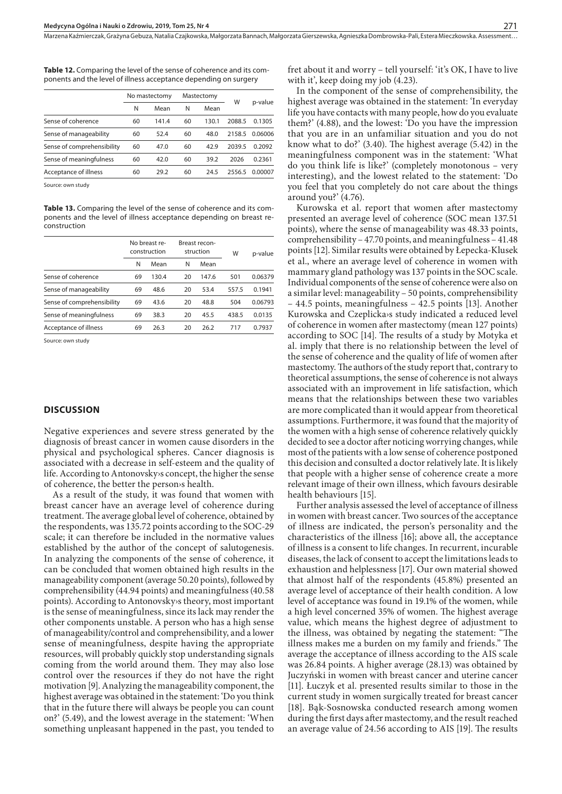**Table 12.** Comparing the level of the sense of coherence and its components and the level of illness acceptance depending on surgery

|                            | No mastectomy |       | Mastectomy |       |        |         |
|----------------------------|---------------|-------|------------|-------|--------|---------|
|                            | Ν             | Mean  | N          | Mean  | W      | p-value |
| Sense of coherence         | 60            | 141.4 | 60         | 130.1 | 2088.5 | 0.1305  |
| Sense of manageability     | 60            | 52.4  | 60         | 48.0  | 2158.5 | 0.06006 |
| Sense of comprehensibility | 60            | 47.0  | 60         | 42.9  | 2039.5 | 0.2092  |
| Sense of meaningfulness    | 60            | 42.0  | 60         | 39.2  | 2026   | 0.2361  |
| Acceptance of illness      | 60            | 29.2  | 60         | 24.5  | 2556.5 | 0.00007 |
|                            |               |       |            |       |        |         |

Source: own study

**Table 13.** Comparing the level of the sense of coherence and its components and the level of illness acceptance depending on breast reconstruction

|                            | No breast re-<br>construction |       | Breast recon-<br>struction |       | W     | p-value |
|----------------------------|-------------------------------|-------|----------------------------|-------|-------|---------|
|                            | N                             | Mean  | N                          | Mean  |       |         |
| Sense of coherence         | 69                            | 130.4 | 20                         | 147.6 | 501   | 0.06379 |
| Sense of manageability     | 69                            | 48.6  | 20                         | 53.4  | 557.5 | 0.1941  |
| Sense of comprehensibility | 69                            | 43.6  | 20                         | 48.8  | 504   | 0.06793 |
| Sense of meaningfulness    | 69                            | 38.3  | 20                         | 45.5  | 438.5 | 0.0135  |
| Acceptance of illness      | 69                            | 26.3  | 20                         | 26.2  | 717   | 0.7937  |
|                            |                               |       |                            |       |       |         |

Source: own study

#### **DISCUSSION**

Negative experiences and severe stress generated by the diagnosis of breast cancer in women cause disorders in the physical and psychological spheres. Cancer diagnosis is associated with a decrease in self-esteem and the quality of life. According to Antonovsky›s concept, the higher the sense of coherence, the better the person›s health.

As a result of the study, it was found that women with breast cancer have an average level of coherence during treatment. The average global level of coherence, obtained by the respondents, was 135.72 points according to the SOC-29 scale; it can therefore be included in the normative values established by the author of the concept of salutogenesis. In analyzing the components of the sense of coherence, it can be concluded that women obtained high results in the manageability component (average 50.20 points), followed by comprehensibility (44.94 points) and meaningfulness (40.58 points). According to Antonovsky›s theory, most important is the sense of meaningfulness, since its lack may render the other components unstable. A person who has a high sense of manageability/control and comprehensibility, and a lower sense of meaningfulness, despite having the appropriate resources, will probably quickly stop understanding signals coming from the world around them. They may also lose control over the resources if they do not have the right motivation [9]. Analyzing the manageability component, the highest average was obtained in the statement: 'Do you think that in the future there will always be people you can count on?' (5.49), and the lowest average in the statement: 'When something unpleasant happened in the past, you tended to

fret about it and worry – tell yourself: 'it's OK, I have to live with it', keep doing my job  $(4.23)$ .

In the component of the sense of comprehensibility, the highest average was obtained in the statement: 'In everyday life you have contacts with many people, how do you evaluate them?' (4.88), and the lowest: 'Do you have the impression that you are in an unfamiliar situation and you do not know what to do?' (3.40). The highest average (5.42) in the meaningfulness component was in the statement: 'What do you think life is like?' (completely monotonous – very interesting), and the lowest related to the statement: 'Do you feel that you completely do not care about the things around you?' (4.76).

Kurowska et al. report that women after mastectomy presented an average level of coherence (SOC mean 137.51 points), where the sense of manageability was 48.33 points, comprehensibility – 47.70 points, and meaningfulness – 41.48 points [12]. Similar results were obtained by Łepecka-Klusek et al., where an average level of coherence in women with mammary gland pathology was 137 points in the SOC scale. Individual components of the sense of coherence were also on a similar level: manageability – 50 points, comprehensibility – 44.5 points, meaningfulness – 42.5 points [13]. Another Kurowska and Czeplicka›s study indicated a reduced level of coherence in women after mastectomy (mean 127 points) according to SOC [14]. The results of a study by Motyka et al. imply that there is no relationship between the level of the sense of coherence and the quality of life of women after mastectomy. The authors of the study report that, contrary to theoretical assumptions, the sense of coherence is not always associated with an improvement in life satisfaction, which means that the relationships between these two variables are more complicated than it would appear from theoretical assumptions. Furthermore, it was found that the majority of the women with a high sense of coherence relatively quickly decided to see a doctor after noticing worrying changes, while most of the patients with a low sense of coherence postponed this decision and consulted a doctor relatively late. It is likely that people with a higher sense of coherence create a more relevant image of their own illness, which favours desirable health behaviours [15].

Further analysis assessed the level of acceptance of illness in women with breast cancer. Two sources of the acceptance of illness are indicated, the person's personality and the characteristics of the illness [16]; above all, the acceptance of illness is a consent to life changes. In recurrent, incurable diseases, the lack of consent to accept the limitations leads to exhaustion and helplessness [17]. Our own material showed that almost half of the respondents (45.8%) presented an average level of acceptance of their health condition. A low level of acceptance was found in 19.1% of the women, while a high level concerned 35% of women. The highest average value, which means the highest degree of adjustment to the illness, was obtained by negating the statement: "The illness makes me a burden on my family and friends." The average the acceptance of illness according to the AIS scale was 26.84 points. A higher average (28.13) was obtained by Juczyński in women with breast cancer and uterine cancer [11]. Łuczyk et al. presented results similar to those in the current study in women surgically treated for breast cancer [18]. Bąk-Sosnowska conducted research among women during the first days after mastectomy, and the result reached an average value of 24.56 according to AIS [19]. The results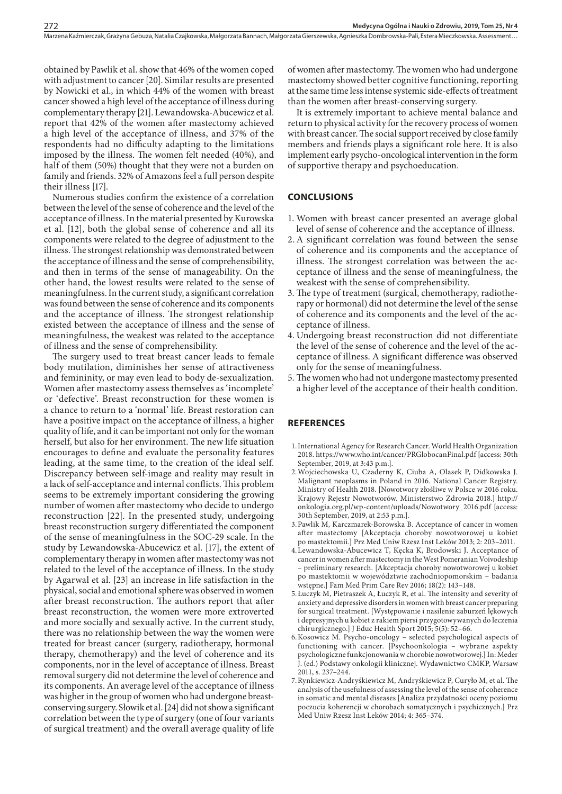obtained by Pawlik et al. show that 46% of the women coped with adjustment to cancer [20]. Similar results are presented by Nowicki et al., in which 44% of the women with breast cancer showed a high level of the acceptance of illness during complementary therapy [21]. Lewandowska-Abucewicz et al. report that 42% of the women after mastectomy achieved a high level of the acceptance of illness, and 37% of the respondents had no difficulty adapting to the limitations imposed by the illness. The women felt needed (40%), and half of them (50%) thought that they were not a burden on family and friends. 32% of Amazons feel a full person despite their illness [17].

Numerous studies confirm the existence of a correlation between the level of the sense of coherence and the level of the acceptance of illness. In the material presented by Kurowska et al. [12], both the global sense of coherence and all its components were related to the degree of adjustment to the illness. The strongest relationship was demonstrated between the acceptance of illness and the sense of comprehensibility, and then in terms of the sense of manageability. On the other hand, the lowest results were related to the sense of meaningfulness. In the current study, a significant correlation was found between the sense of coherence and its components and the acceptance of illness. The strongest relationship existed between the acceptance of illness and the sense of meaningfulness, the weakest was related to the acceptance of illness and the sense of comprehensibility.

The surgery used to treat breast cancer leads to female body mutilation, diminishes her sense of attractiveness and femininity, or may even lead to body de-sexualization. Women after mastectomy assess themselves as 'incomplete' or 'defective'. Breast reconstruction for these women is a chance to return to a 'normal' life. Breast restoration can have a positive impact on the acceptance of illness, a higher quality of life, and it can be important not only for the woman herself, but also for her environment. The new life situation encourages to define and evaluate the personality features leading, at the same time, to the creation of the ideal self. Discrepancy between self-image and reality may result in a lack of self-acceptance and internal conflicts. This problem seems to be extremely important considering the growing number of women after mastectomy who decide to undergo reconstruction [22]. In the presented study, undergoing breast reconstruction surgery differentiated the component of the sense of meaningfulness in the SOC-29 scale. In the study by Lewandowska-Abucewicz et al. [17], the extent of complementary therapy in women after mastectomy was not related to the level of the acceptance of illness. In the study by Agarwal et al. [23] an increase in life satisfaction in the physical, social and emotional sphere was observed in women after breast reconstruction. The authors report that after breast reconstruction, the women were more extroverted and more socially and sexually active. In the current study, there was no relationship between the way the women were treated for breast cancer (surgery, radiotherapy, hormonal therapy, chemotherapy) and the level of coherence and its components, nor in the level of acceptance of illness. Breast removal surgery did not determine the level of coherence and its components. An average level of the acceptance of illness was higher in the group of women who had undergone breastconserving surgery. Słowik et al. [24] did not show a significant correlation between the type of surgery (one of four variants of surgical treatment) and the overall average quality of life

of women after mastectomy. The women who had undergone mastectomy showed better cognitive functioning, reporting at the same time less intense systemic side-effects of treatment than the women after breast-conserving surgery.

It is extremely important to achieve mental balance and return to physical activity for the recovery process of women with breast cancer. The social support received by close family members and friends plays a significant role here. It is also implement early psycho-oncological intervention in the form of supportive therapy and psychoeducation.

# **CONCLUSIONS**

- 1. Women with breast cancer presented an average global level of sense of coherence and the acceptance of illness.
- 2.A significant correlation was found between the sense of coherence and its components and the acceptance of illness. The strongest correlation was between the acceptance of illness and the sense of meaningfulness, the weakest with the sense of comprehensibility.
- 3. The type of treatment (surgical, chemotherapy, radiotherapy or hormonal) did not determine the level of the sense of coherence and its components and the level of the acceptance of illness.
- 4. Undergoing breast reconstruction did not differentiate the level of the sense of coherence and the level of the acceptance of illness. A significant difference was observed only for the sense of meaningfulness.
- 5. The women who had not undergone mastectomy presented a higher level of the acceptance of their health condition.

#### **REFERENCES**

- 1.International Agency for Research Cancer. World Health Organization 2018. <https://www.who.int/cancer/PRGlobocanFinal.pdf>[access: 30th September, 2019, at 3:43 p.m.].
- 2.Wojciechowska U, Czaderny K, Ciuba A, Olasek P, Didkowska J. Malignant neoplasms in Poland in 2016. National Cancer Registry. Ministry of Health 2018. [Nowotwory złośliwe w Polsce w 2016 roku. Krajowy Rejestr Nowotworów. Ministerstwo Zdrowia 2018.] [http://](http://onkologia.org.pl/wp-content/uploads/Nowotwory_2016.pdf) [onkologia.org.pl/wp-content/uploads/Nowotwory\\_2016.pdf](http://onkologia.org.pl/wp-content/uploads/Nowotwory_2016.pdf) [access: 30th September, 2019, at 2:53 p.m.].
- 3.Pawlik M, Karczmarek-Borowska B. Acceptance of cancer in women after mastectomy [Akceptacja choroby nowotworowej u kobiet po mastektomii.] Prz Med Uniw Rzesz Inst Leków 2013; 2: 203–2011.
- 4.Lewandowska-Abucewicz T, Kęcka K, Brodowski J. Acceptance of cancer in women after mastectomy in the West Pomeranian Voivodeship – preliminary research. [Akceptacja choroby nowotworowej u kobiet po mastektomii w województwie zachodniopomorskim – badania wstępne.] Fam Med Prim Care Rev 2016; 18(2): 143–148.
- 5.Łuczyk M, Pietraszek A, Łuczyk R, et al. The intensity and severity of anxiety and depressive disorders in women with breast cancer preparing for surgical treatment. [Występowanie i nasilenie zaburzeń lękowych i depresyjnych u kobiet z rakiem piersi przygotowywanych do leczenia chirurgicznego.] J Educ Health Sport 2015; 5(5): 52–66.
- 6.Kosowicz M. Psycho-oncology selected psychological aspects of functioning with cancer. [Psychoonkologia – wybrane aspekty psychologiczne funkcjonowania w chorobie nowotworowej.] In: Meder J. (ed.) Podstawy onkologii klinicznej. Wydawnictwo CMKP, Warsaw 2011, s. 237–244.
- 7.Rynkiewicz-Andryśkiewicz M, Andryśkiewicz P, Curyło M, et al. The analysis of the usefulness of assessing the level of the sense of coherence in somatic and mental diseases [Analiza przydatności oceny poziomu poczucia koherencji w chorobach somatycznych i psychicznych.] Prz Med Uniw Rzesz Inst Leków 2014; 4: 365–374.